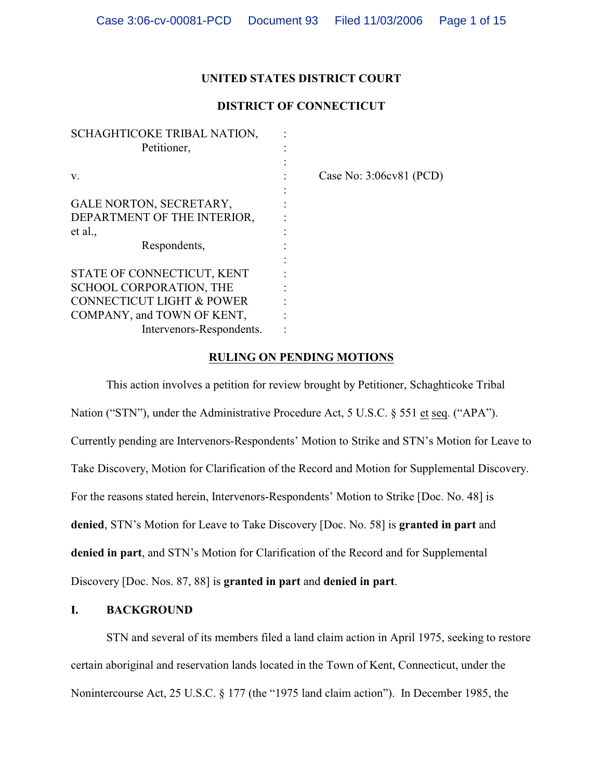# **UNITED STATES DISTRICT COURT**

# **DISTRICT OF CONNECTICUT**

| SCHAGHTICOKE TRIBAL NATION,          |                         |
|--------------------------------------|-------------------------|
| Petitioner,                          |                         |
|                                      |                         |
| V.                                   | Case No: 3:06cv81 (PCD) |
|                                      |                         |
| GALE NORTON, SECRETARY,              |                         |
| DEPARTMENT OF THE INTERIOR,          |                         |
| et al.,                              |                         |
| Respondents,                         |                         |
|                                      |                         |
| STATE OF CONNECTICUT, KENT           |                         |
| SCHOOL CORPORATION, THE              |                         |
| <b>CONNECTICUT LIGHT &amp; POWER</b> |                         |
| COMPANY, and TOWN OF KENT,           |                         |
| Intervenors-Respondents.             |                         |
|                                      |                         |

## **RULING ON PENDING MOTIONS**

This action involves a petition for review brought by Petitioner, Schaghticoke Tribal Nation ("STN"), under the Administrative Procedure Act, 5 U.S.C. § 551 et seq. ("APA"). Currently pending are Intervenors-Respondents' Motion to Strike and STN's Motion for Leave to Take Discovery, Motion for Clarification of the Record and Motion for Supplemental Discovery. For the reasons stated herein, Intervenors-Respondents' Motion to Strike [Doc. No. 48] is **denied**, STN's Motion for Leave to Take Discovery [Doc. No. 58] is **granted in part** and **denied in part**, and STN's Motion for Clarification of the Record and for Supplemental Discovery [Doc. Nos. 87, 88] is **granted in part** and **denied in part**.

# **I. BACKGROUND**

STN and several of its members filed a land claim action in April 1975, seeking to restore certain aboriginal and reservation lands located in the Town of Kent, Connecticut, under the Nonintercourse Act, 25 U.S.C. § 177 (the "1975 land claim action").In December 1985, the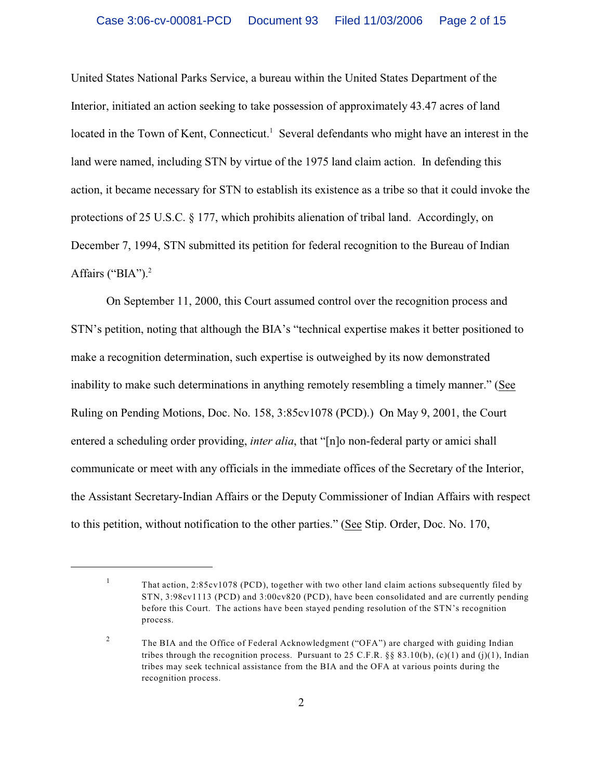United States National Parks Service, a bureau within the United States Department of the Interior, initiated an action seeking to take possession of approximately 43.47 acres of land located in the Town of Kent, Connecticut.<sup>1</sup> Several defendants who might have an interest in the land were named, including STN by virtue of the 1975 land claim action. In defending this action, it became necessary for STN to establish its existence as a tribe so that it could invoke the protections of 25 U.S.C. § 177, which prohibits alienation of tribal land. Accordingly, on December 7, 1994, STN submitted its petition for federal recognition to the Bureau of Indian Affairs ("BIA").<sup>2</sup>

On September 11, 2000, this Court assumed control over the recognition process and STN's petition, noting that although the BIA's "technical expertise makes it better positioned to make a recognition determination, such expertise is outweighed by its now demonstrated inability to make such determinations in anything remotely resembling a timely manner." (See Ruling on Pending Motions, Doc. No. 158, 3:85cv1078 (PCD).) On May 9, 2001, the Court entered a scheduling order providing, *inter alia*, that "[n]o non-federal party or amici shall communicate or meet with any officials in the immediate offices of the Secretary of the Interior, the Assistant Secretary-Indian Affairs or the Deputy Commissioner of Indian Affairs with respect to this petition, without notification to the other parties." (See Stip. Order, Doc. No. 170,

 $\frac{1}{1}$  That action, 2:85cv1078 (PCD), together with two other land claim actions subsequently filed by STN, 3:98cv1113 (PCD) and 3:00cv820 (PCD), have been consolidated and are currently pending before this Court. The actions have been stayed pending resolution of the STN's recognition process.

The BIA and the Office of Federal Acknowledgment ("OFA") are charged with guiding Indian 2 tribes through the recognition process. Pursuant to 25 C.F.R. §§ 83.10(b), (c)(1) and (j)(1), Indian tribes may seek technical assistance from the BIA and the OFA at various points during the recognition process.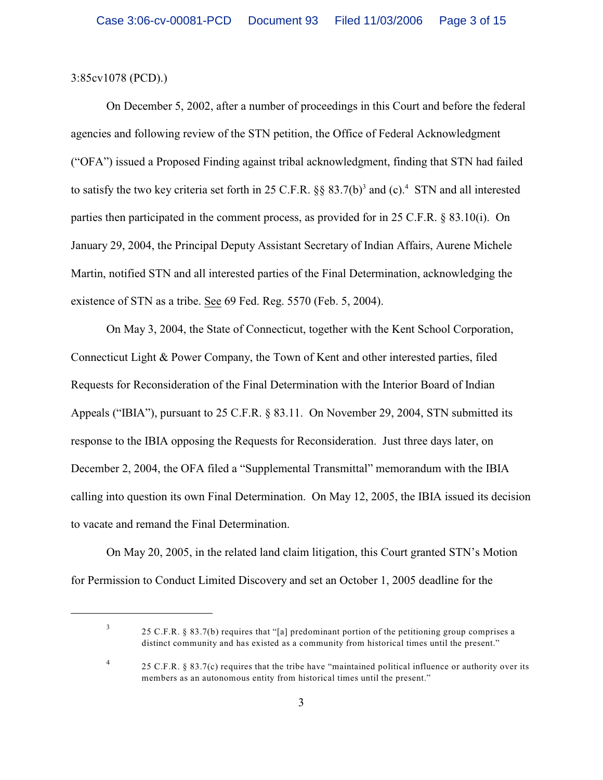### 3:85cv1078 (PCD).)

On December 5, 2002, after a number of proceedings in this Court and before the federal agencies and following review of the STN petition, the Office of Federal Acknowledgment ("OFA") issued a Proposed Finding against tribal acknowledgment, finding that STN had failed to satisfy the two key criteria set forth in 25 C.F.R.  $\S$ § 83.7(b)<sup>3</sup> and (c).<sup>4</sup> STN and all interested parties then participated in the comment process, as provided for in 25 C.F.R. § 83.10(i). On January 29, 2004, the Principal Deputy Assistant Secretary of Indian Affairs, Aurene Michele Martin, notified STN and all interested parties of the Final Determination, acknowledging the existence of STN as a tribe. See 69 Fed. Reg. 5570 (Feb. 5, 2004).

On May 3, 2004, the State of Connecticut, together with the Kent School Corporation, Connecticut Light & Power Company, the Town of Kent and other interested parties, filed Requests for Reconsideration of the Final Determination with the Interior Board of Indian Appeals ("IBIA"), pursuant to 25 C.F.R. § 83.11. On November 29, 2004, STN submitted its response to the IBIA opposing the Requests for Reconsideration. Just three days later, on December 2, 2004, the OFA filed a "Supplemental Transmittal" memorandum with the IBIA calling into question its own Final Determination. On May 12, 2005, the IBIA issued its decision to vacate and remand the Final Determination.

On May 20, 2005, in the related land claim litigation, this Court granted STN's Motion for Permission to Conduct Limited Discovery and set an October 1, 2005 deadline for the

<sup>3</sup>

<sup>25</sup> C.F.R. § 83.7(b) requires that "[a] predominant portion of the petitioning group comprises a distinct community and has existed as a community from historical times until the present."

<sup>&</sup>lt;sup>4</sup> 25 C.F.R. § 83.7(c) requires that the tribe have "maintained political influence or authority over its members as an autonomous entity from historical times until the present."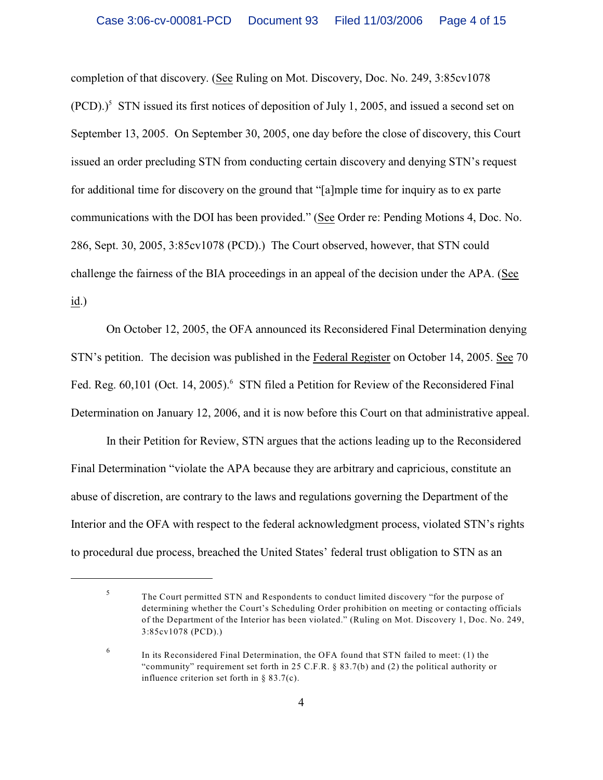completion of that discovery. (See Ruling on Mot. Discovery, Doc. No. 249, 3:85cv1078  $(PCD).$ <sup>5</sup> STN issued its first notices of deposition of July 1, 2005, and issued a second set on September 13, 2005. On September 30, 2005, one day before the close of discovery, this Court issued an order precluding STN from conducting certain discovery and denying STN's request for additional time for discovery on the ground that "[a]mple time for inquiry as to ex parte communications with the DOI has been provided." (See Order re: Pending Motions 4, Doc. No. 286, Sept. 30, 2005, 3:85cv1078 (PCD).) The Court observed, however, that STN could challenge the fairness of the BIA proceedings in an appeal of the decision under the APA. (See  $\underline{\text{id}}$ .)

On October 12, 2005, the OFA announced its Reconsidered Final Determination denying STN's petition. The decision was published in the Federal Register on October 14, 2005. See 70 Fed. Reg. 60,101 (Oct. 14, 2005). STN filed a Petition for Review of the Reconsidered Final Determination on January 12, 2006, and it is now before this Court on that administrative appeal.

In their Petition for Review, STN argues that the actions leading up to the Reconsidered Final Determination "violate the APA because they are arbitrary and capricious, constitute an abuse of discretion, are contrary to the laws and regulations governing the Department of the Interior and the OFA with respect to the federal acknowledgment process, violated STN's rights to procedural due process, breached the United States' federal trust obligation to STN as an

The Court permitted STN and Respondents to conduct limited discovery "for the purpose of <sup>5</sup> determining whether the Court's Scheduling Order prohibition on meeting or contacting officials of the Department of the Interior has been violated." (Ruling on Mot. Discovery 1, Doc. No. 249, 3:85cv1078 (PCD).)

<sup>&</sup>lt;sup>6</sup> In its Reconsidered Final Determination, the OFA found that STN failed to meet: (1) the "community" requirement set forth in 25 C.F.R. § 83.7(b) and (2) the political authority or influence criterion set forth in § 83.7(c).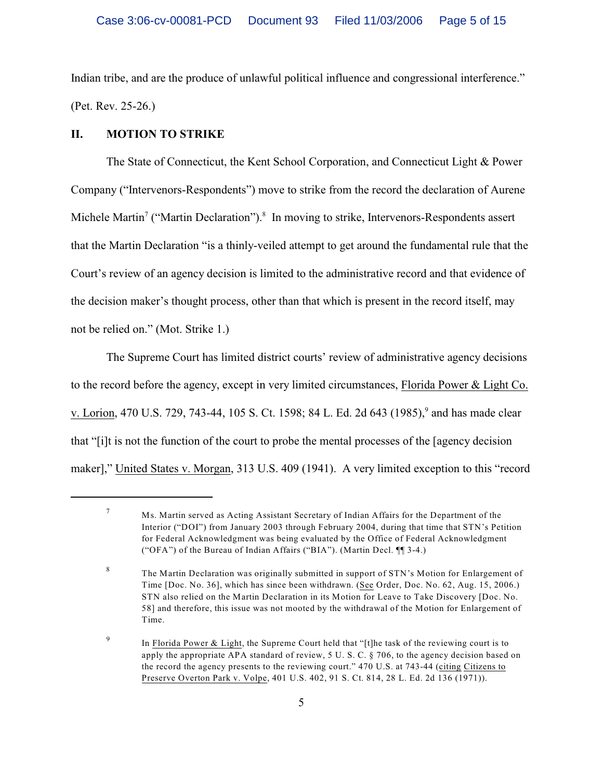Indian tribe, and are the produce of unlawful political influence and congressional interference." (Pet. Rev. 25-26.)

## **II. MOTION TO STRIKE**

The State of Connecticut, the Kent School Corporation, and Connecticut Light & Power Company ("Intervenors-Respondents") move to strike from the record the declaration of Aurene Michele Martin<sup>7</sup> ("Martin Declaration").<sup>8</sup> In moving to strike, Intervenors-Respondents assert that the Martin Declaration "is a thinly-veiled attempt to get around the fundamental rule that the Court's review of an agency decision is limited to the administrative record and that evidence of the decision maker's thought process, other than that which is present in the record itself, may not be relied on." (Mot. Strike 1.)

The Supreme Court has limited district courts' review of administrative agency decisions to the record before the agency, except in very limited circumstances, Florida Power & Light Co. v. Lorion, 470 U.S. 729, 743-44, 105 S. Ct. 1598; 84 L. Ed. 2d 643 (1985),<sup>9</sup> and has made clear that "[i]t is not the function of the court to probe the mental processes of the [agency decision maker]," United States v. Morgan, 313 U.S. 409 (1941). A very limited exception to this "record

Ms. Martin served as Acting Assistant Secretary of Indian Affairs for the Department of the Interior ("DOI") from January 2003 through February 2004, during that time that STN's Petition for Federal Acknowledgment was being evaluated by the Office of Federal Acknowledgment ("OFA") of the Bureau of Indian Affairs ("BIA"). (Martin Decl. ¶¶ 3-4.)

<sup>&</sup>lt;sup>8</sup> The Martin Declaration was originally submitted in support of STN's Motion for Enlargement of Time [Doc. No. 36], which has since been withdrawn. (See Order, Doc. No. 62, Aug. 15, 2006.) STN also relied on the Martin Declaration in its Motion for Leave to Take Discovery [Doc. No. 58] and therefore, this issue was not mooted by the withdrawal of the Motion for Enlargement of Time.

<sup>&</sup>lt;sup>9</sup> In Florida Power & Light, the Supreme Court held that "[t]he task of the reviewing court is to apply the appropriate APA standard of review, 5 U. S. C. § 706, to the agency decision based on the record the agency presents to the reviewing court." 470 U.S. at 743-44 (citing Citizens to Preserve Overton Park v. Volpe, 401 U.S. 402, 91 S. Ct. 814, 28 L. Ed. 2d 136 (1971)).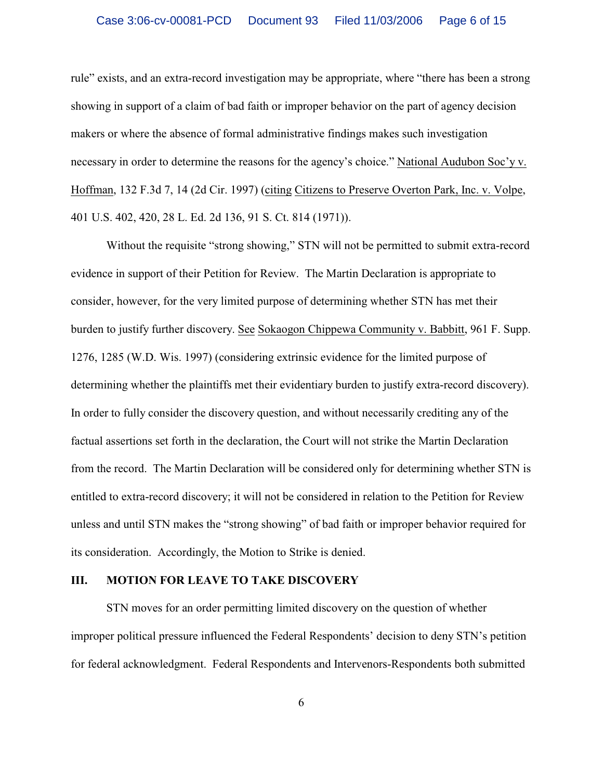rule" exists, and an extra-record investigation may be appropriate, where "there has been a strong showing in support of a claim of bad faith or improper behavior on the part of agency decision makers or where the absence of formal administrative findings makes such investigation necessary in order to determine the reasons for the agency's choice." National Audubon Soc'y v. Hoffman, 132 F.3d 7, 14 (2d Cir. 1997) (citing Citizens to Preserve Overton Park, Inc. v. Volpe, 401 U.S. 402, 420, 28 L. Ed. 2d 136, 91 S. Ct. 814 (1971)).

Without the requisite "strong showing," STN will not be permitted to submit extra-record evidence in support of their Petition for Review. The Martin Declaration is appropriate to consider, however, for the very limited purpose of determining whether STN has met their burden to justify further discovery. See Sokaogon Chippewa Community v. Babbitt, 961 F. Supp. 1276, 1285 (W.D. Wis. 1997) (considering extrinsic evidence for the limited purpose of determining whether the plaintiffs met their evidentiary burden to justify extra-record discovery). In order to fully consider the discovery question, and without necessarily crediting any of the factual assertions set forth in the declaration, the Court will not strike the Martin Declaration from the record. The Martin Declaration will be considered only for determining whether STN is entitled to extra-record discovery; it will not be considered in relation to the Petition for Review unless and until STN makes the "strong showing" of bad faith or improper behavior required for its consideration. Accordingly, the Motion to Strike is denied.

### **III. MOTION FOR LEAVE TO TAKE DISCOVERY**

STN moves for an order permitting limited discovery on the question of whether improper political pressure influenced the Federal Respondents' decision to deny STN's petition for federal acknowledgment. Federal Respondents and Intervenors-Respondents both submitted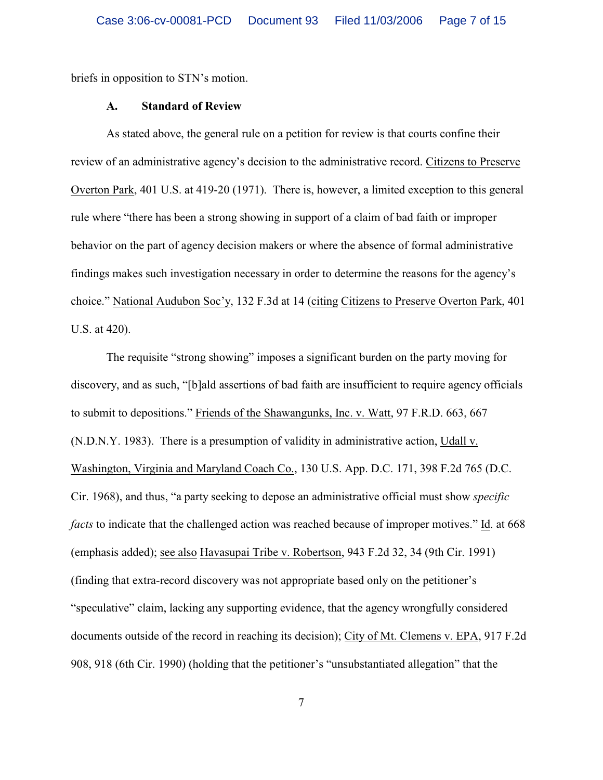briefs in opposition to STN's motion.

#### **A. Standard of Review**

As stated above, the general rule on a petition for review is that courts confine their review of an administrative agency's decision to the administrative record. Citizens to Preserve Overton Park, 401 U.S. at 419-20 (1971). There is, however, a limited exception to this general rule where "there has been a strong showing in support of a claim of bad faith or improper behavior on the part of agency decision makers or where the absence of formal administrative findings makes such investigation necessary in order to determine the reasons for the agency's choice." National Audubon Soc'y, 132 F.3d at 14 (citing Citizens to Preserve Overton Park, 401 U.S. at 420).

The requisite "strong showing" imposes a significant burden on the party moving for discovery, and as such, "[b]ald assertions of bad faith are insufficient to require agency officials to submit to depositions." Friends of the Shawangunks, Inc. v. Watt, 97 F.R.D. 663, 667 (N.D.N.Y. 1983). There is a presumption of validity in administrative action, Udall v. Washington, Virginia and Maryland Coach Co., 130 U.S. App. D.C. 171, 398 F.2d 765 (D.C. Cir. 1968), and thus, "a party seeking to depose an administrative official must show *specific facts* to indicate that the challenged action was reached because of improper motives." Id. at 668 (emphasis added); see also Havasupai Tribe v. Robertson, 943 F.2d 32, 34 (9th Cir. 1991) (finding that extra-record discovery was not appropriate based only on the petitioner's "speculative" claim, lacking any supporting evidence, that the agency wrongfully considered documents outside of the record in reaching its decision); City of Mt. Clemens v. EPA, 917 F.2d 908, 918 (6th Cir. 1990) (holding that the petitioner's "unsubstantiated allegation" that the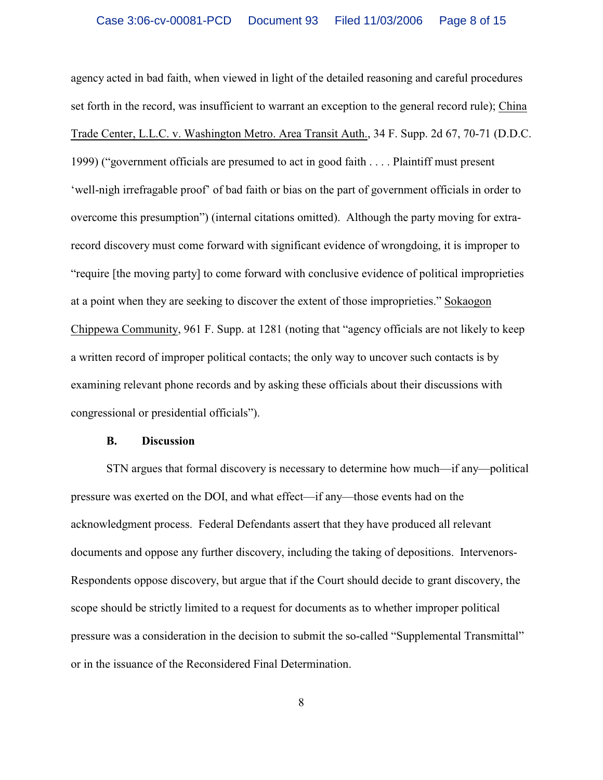agency acted in bad faith, when viewed in light of the detailed reasoning and careful procedures set forth in the record, was insufficient to warrant an exception to the general record rule); China Trade Center, L.L.C. v. Washington Metro. Area Transit Auth., 34 F. Supp. 2d 67, 70-71 (D.D.C. 1999) ("government officials are presumed to act in good faith . . . . Plaintiff must present 'well-nigh irrefragable proof' of bad faith or bias on the part of government officials in order to overcome this presumption") (internal citations omitted). Although the party moving for extrarecord discovery must come forward with significant evidence of wrongdoing, it is improper to "require [the moving party] to come forward with conclusive evidence of political improprieties at a point when they are seeking to discover the extent of those improprieties." Sokaogon Chippewa Community, 961 F. Supp. at 1281 (noting that "agency officials are not likely to keep a written record of improper political contacts; the only way to uncover such contacts is by examining relevant phone records and by asking these officials about their discussions with congressional or presidential officials").

### **B. Discussion**

STN argues that formal discovery is necessary to determine how much—if any—political pressure was exerted on the DOI, and what effect—if any—those events had on the acknowledgment process. Federal Defendants assert that they have produced all relevant documents and oppose any further discovery, including the taking of depositions. Intervenors-Respondents oppose discovery, but argue that if the Court should decide to grant discovery, the scope should be strictly limited to a request for documents as to whether improper political pressure was a consideration in the decision to submit the so-called "Supplemental Transmittal" or in the issuance of the Reconsidered Final Determination.

8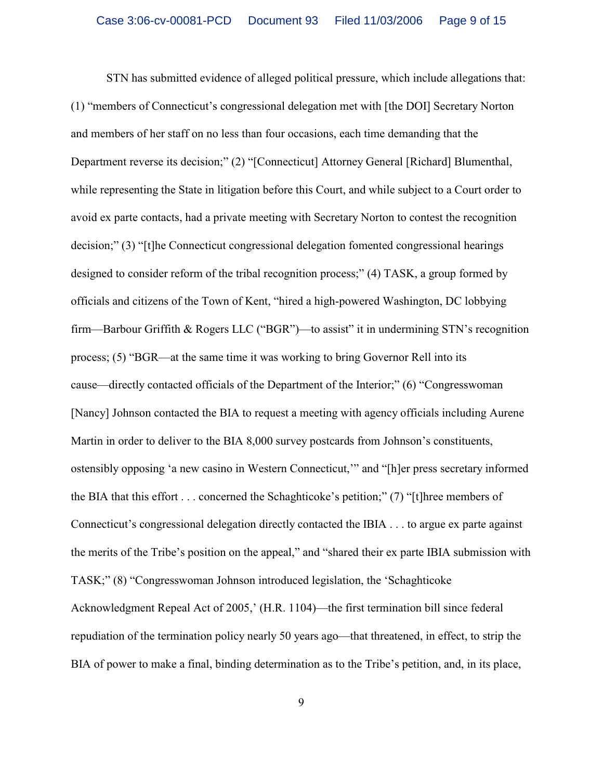STN has submitted evidence of alleged political pressure, which include allegations that: (1) "members of Connecticut's congressional delegation met with [the DOI] Secretary Norton and members of her staff on no less than four occasions, each time demanding that the Department reverse its decision;" (2) "[Connecticut] Attorney General [Richard] Blumenthal, while representing the State in litigation before this Court, and while subject to a Court order to avoid ex parte contacts, had a private meeting with Secretary Norton to contest the recognition decision;" (3) "[t]he Connecticut congressional delegation fomented congressional hearings designed to consider reform of the tribal recognition process;" (4) TASK, a group formed by officials and citizens of the Town of Kent, "hired a high-powered Washington, DC lobbying firm—Barbour Griffith & Rogers LLC ("BGR")—to assist" it in undermining STN's recognition process; (5) "BGR—at the same time it was working to bring Governor Rell into its cause—directly contacted officials of the Department of the Interior;" (6) "Congresswoman [Nancy] Johnson contacted the BIA to request a meeting with agency officials including Aurene Martin in order to deliver to the BIA 8,000 survey postcards from Johnson's constituents, ostensibly opposing 'a new casino in Western Connecticut,'" and "[h]er press secretary informed the BIA that this effort . . . concerned the Schaghticoke's petition;" (7) "[t]hree members of Connecticut's congressional delegation directly contacted the IBIA . . . to argue ex parte against the merits of the Tribe's position on the appeal," and "shared their ex parte IBIA submission with TASK;" (8) "Congresswoman Johnson introduced legislation, the 'Schaghticoke Acknowledgment Repeal Act of 2005,' (H.R. 1104)—the first termination bill since federal repudiation of the termination policy nearly 50 years ago—that threatened, in effect, to strip the BIA of power to make a final, binding determination as to the Tribe's petition, and, in its place,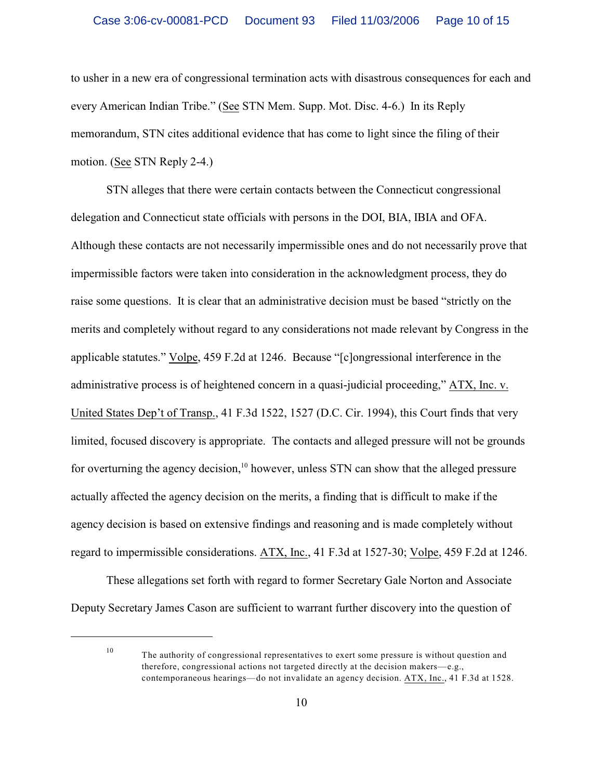to usher in a new era of congressional termination acts with disastrous consequences for each and every American Indian Tribe." (See STN Mem. Supp. Mot. Disc. 4-6.) In its Reply memorandum, STN cites additional evidence that has come to light since the filing of their motion. (See STN Reply 2-4.)

STN alleges that there were certain contacts between the Connecticut congressional delegation and Connecticut state officials with persons in the DOI, BIA, IBIA and OFA. Although these contacts are not necessarily impermissible ones and do not necessarily prove that impermissible factors were taken into consideration in the acknowledgment process, they do raise some questions. It is clear that an administrative decision must be based "strictly on the merits and completely without regard to any considerations not made relevant by Congress in the applicable statutes." Volpe, 459 F.2d at 1246. Because "[c]ongressional interference in the administrative process is of heightened concern in a quasi-judicial proceeding," ATX, Inc. v. United States Dep't of Transp., 41 F.3d 1522, 1527 (D.C. Cir. 1994), this Court finds that very limited, focused discovery is appropriate. The contacts and alleged pressure will not be grounds for overturning the agency decision,  $\frac{10}{10}$  however, unless STN can show that the alleged pressure actually affected the agency decision on the merits, a finding that is difficult to make if the agency decision is based on extensive findings and reasoning and is made completely without regard to impermissible considerations. ATX, Inc., 41 F.3d at 1527-30; Volpe, 459 F.2d at 1246.

These allegations set forth with regard to former Secretary Gale Norton and Associate Deputy Secretary James Cason are sufficient to warrant further discovery into the question of

 $10$  The authority of congressional representatives to exert some pressure is without question and therefore, congressional actions not targeted directly at the decision makers—e.g., contemporaneous hearings—do not invalidate an agency decision. ATX, Inc., 41 F.3d at 1528.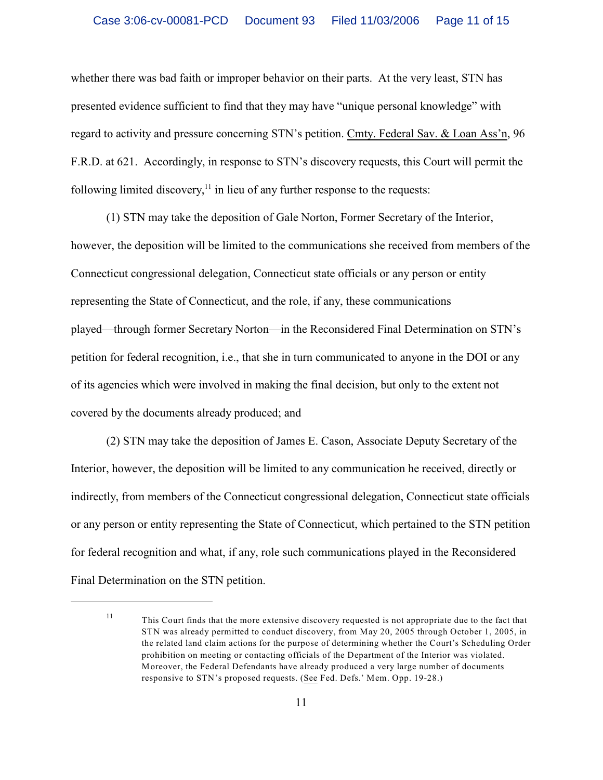whether there was bad faith or improper behavior on their parts. At the very least, STN has presented evidence sufficient to find that they may have "unique personal knowledge" with regard to activity and pressure concerning STN's petition. Cmty. Federal Sav. & Loan Ass'n, 96 F.R.D. at 621. Accordingly, in response to STN's discovery requests, this Court will permit the following limited discovery, $<sup>11</sup>$  in lieu of any further response to the requests:</sup>

(1) STN may take the deposition of Gale Norton, Former Secretary of the Interior, however, the deposition will be limited to the communications she received from members of the Connecticut congressional delegation, Connecticut state officials or any person or entity representing the State of Connecticut, and the role, if any, these communications played—through former Secretary Norton—in the Reconsidered Final Determination on STN's petition for federal recognition, i.e., that she in turn communicated to anyone in the DOI or any of its agencies which were involved in making the final decision, but only to the extent not covered by the documents already produced; and

(2) STN may take the deposition of James E. Cason, Associate Deputy Secretary of the Interior, however, the deposition will be limited to any communication he received, directly or indirectly, from members of the Connecticut congressional delegation, Connecticut state officials or any person or entity representing the State of Connecticut, which pertained to the STN petition for federal recognition and what, if any, role such communications played in the Reconsidered Final Determination on the STN petition.

This Court finds that the more extensive discovery requested is not appropriate due to the fact that <sup>11</sup> STN was already permitted to conduct discovery, from May 20, 2005 through October 1, 2005, in the related land claim actions for the purpose of determining whether the Court's Scheduling Order prohibition on meeting or contacting officials of the Department of the Interior was violated. Moreover, the Federal Defendants have already produced a very large number of documents responsive to STN's proposed requests. (See Fed. Defs.' Mem. Opp. 19-28.)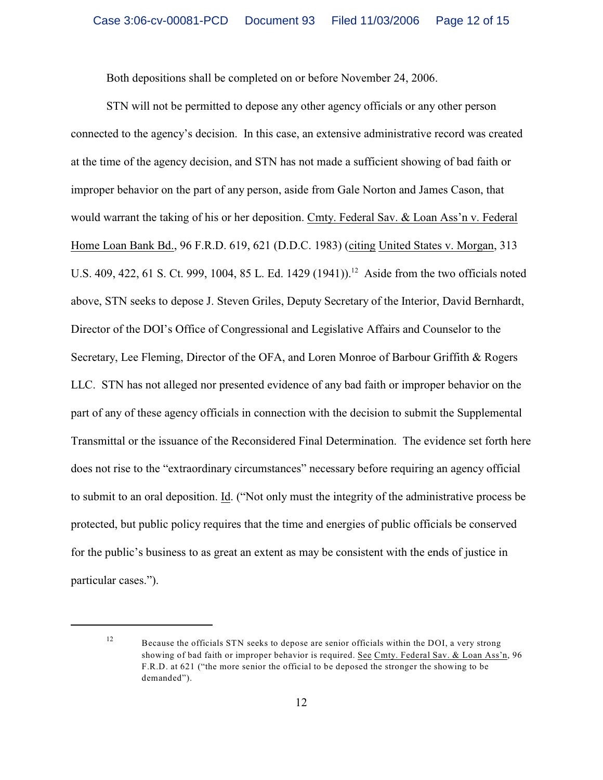Both depositions shall be completed on or before November 24, 2006.

STN will not be permitted to depose any other agency officials or any other person connected to the agency's decision. In this case, an extensive administrative record was created at the time of the agency decision, and STN has not made a sufficient showing of bad faith or improper behavior on the part of any person, aside from Gale Norton and James Cason, that would warrant the taking of his or her deposition. Cmty. Federal Sav. & Loan Ass'n v. Federal Home Loan Bank Bd., 96 F.R.D. 619, 621 (D.D.C. 1983) (citing United States v. Morgan, 313 U.S. 409, 422, 61 S. Ct. 999, 1004, 85 L. Ed. 1429 (1941)).<sup>12</sup> Aside from the two officials noted above, STN seeks to depose J. Steven Griles, Deputy Secretary of the Interior, David Bernhardt, Director of the DOI's Office of Congressional and Legislative Affairs and Counselor to the Secretary, Lee Fleming, Director of the OFA, and Loren Monroe of Barbour Griffith & Rogers LLC. STN has not alleged nor presented evidence of any bad faith or improper behavior on the part of any of these agency officials in connection with the decision to submit the Supplemental Transmittal or the issuance of the Reconsidered Final Determination. The evidence set forth here does not rise to the "extraordinary circumstances" necessary before requiring an agency official to submit to an oral deposition. Id. ("Not only must the integrity of the administrative process be protected, but public policy requires that the time and energies of public officials be conserved for the public's business to as great an extent as may be consistent with the ends of justice in particular cases.").

Because the officials STN seeks to depose are senior officials within the DOI, a very strong 12 showing of bad faith or improper behavior is required. See Cmty. Federal Sav. & Loan Ass'n, 96 F.R.D. at 621 ("the more senior the official to be deposed the stronger the showing to be demanded").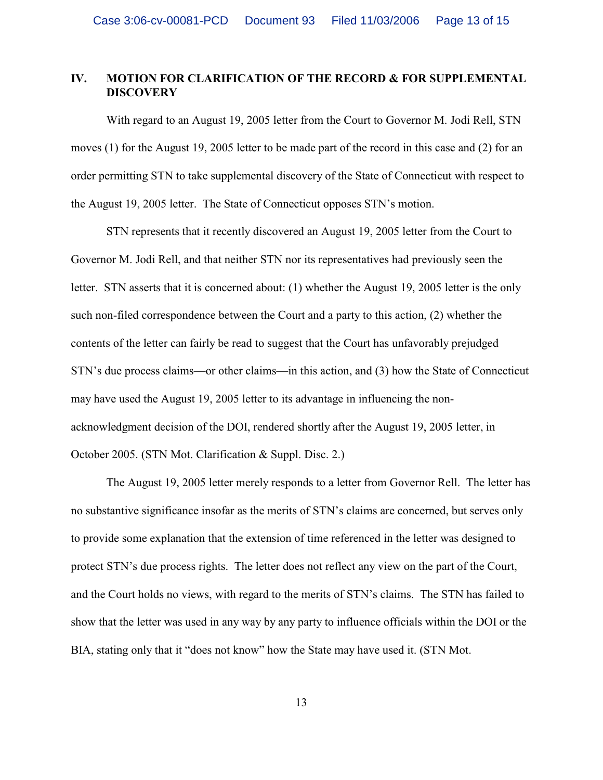# **IV. MOTION FOR CLARIFICATION OF THE RECORD & FOR SUPPLEMENTAL DISCOVERY**

With regard to an August 19, 2005 letter from the Court to Governor M. Jodi Rell, STN moves (1) for the August 19, 2005 letter to be made part of the record in this case and (2) for an order permitting STN to take supplemental discovery of the State of Connecticut with respect to the August 19, 2005 letter. The State of Connecticut opposes STN's motion.

STN represents that it recently discovered an August 19, 2005 letter from the Court to Governor M. Jodi Rell, and that neither STN nor its representatives had previously seen the letter. STN asserts that it is concerned about: (1) whether the August 19, 2005 letter is the only such non-filed correspondence between the Court and a party to this action, (2) whether the contents of the letter can fairly be read to suggest that the Court has unfavorably prejudged STN's due process claims—or other claims—in this action, and (3) how the State of Connecticut may have used the August 19, 2005 letter to its advantage in influencing the nonacknowledgment decision of the DOI, rendered shortly after the August 19, 2005 letter, in October 2005. (STN Mot. Clarification & Suppl. Disc. 2.)

The August 19, 2005 letter merely responds to a letter from Governor Rell. The letter has no substantive significance insofar as the merits of STN's claims are concerned, but serves only to provide some explanation that the extension of time referenced in the letter was designed to protect STN's due process rights. The letter does not reflect any view on the part of the Court, and the Court holds no views, with regard to the merits of STN's claims. The STN has failed to show that the letter was used in any way by any party to influence officials within the DOI or the BIA, stating only that it "does not know" how the State may have used it. (STN Mot.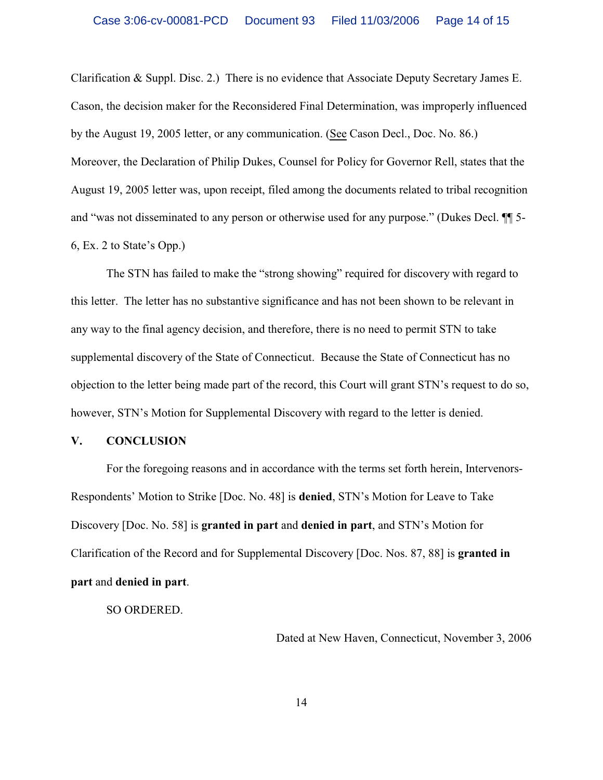Clarification & Suppl. Disc. 2.) There is no evidence that Associate Deputy Secretary James E. Cason, the decision maker for the Reconsidered Final Determination, was improperly influenced by the August 19, 2005 letter, or any communication. (See Cason Decl., Doc. No. 86.) Moreover, the Declaration of Philip Dukes, Counsel for Policy for Governor Rell, states that the August 19, 2005 letter was, upon receipt, filed among the documents related to tribal recognition and "was not disseminated to any person or otherwise used for any purpose." (Dukes Decl. ¶¶ 5- 6, Ex. 2 to State's Opp.)

The STN has failed to make the "strong showing" required for discovery with regard to this letter. The letter has no substantive significance and has not been shown to be relevant in any way to the final agency decision, and therefore, there is no need to permit STN to take supplemental discovery of the State of Connecticut. Because the State of Connecticut has no objection to the letter being made part of the record, this Court will grant STN's request to do so, however, STN's Motion for Supplemental Discovery with regard to the letter is denied.

#### **V. CONCLUSION**

For the foregoing reasons and in accordance with the terms set forth herein, Intervenors-Respondents' Motion to Strike [Doc. No. 48] is **denied**, STN's Motion for Leave to Take Discovery [Doc. No. 58] is **granted in part** and **denied in part**, and STN's Motion for Clarification of the Record and for Supplemental Discovery [Doc. Nos. 87, 88] is **granted in part** and **denied in part**.

SO ORDERED.

Dated at New Haven, Connecticut, November 3, 2006